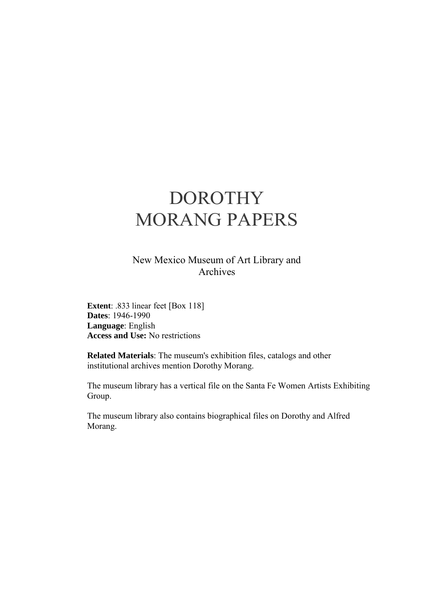# DOROTHY MORANG PAPERS

New Mexico Museum of Art Library and Archives

**Extent**: .833 linear feet [Box 118] **Dates**: 1946-1990 **Language**: English **Access and Use:** No restrictions

**Related Materials**: The museum's exhibition files, catalogs and other institutional archives mention Dorothy Morang.

The museum library has a vertical file on the Santa Fe Women Artists Exhibiting Group.

The museum library also contains biographical files on Dorothy and Alfred Morang.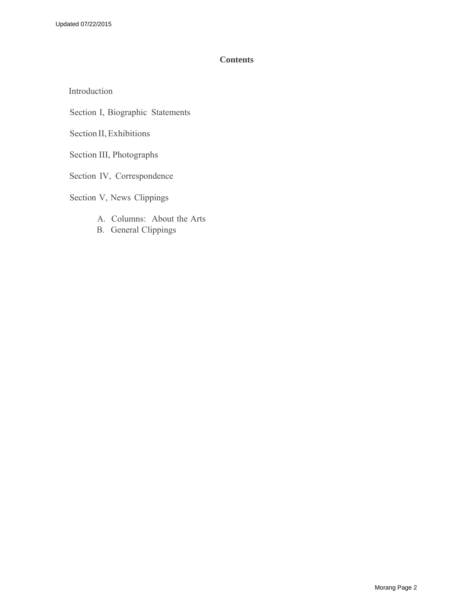## **Contents**

[Introduction](#page-2-0)

Section I, Biographic Statements

Section II,Exhibitions

Section III, Photographs

Section IV, Correspondence

Section V, News Clippings

- A. Columns: About the Arts
- B. [General Clippings](#page-12-0)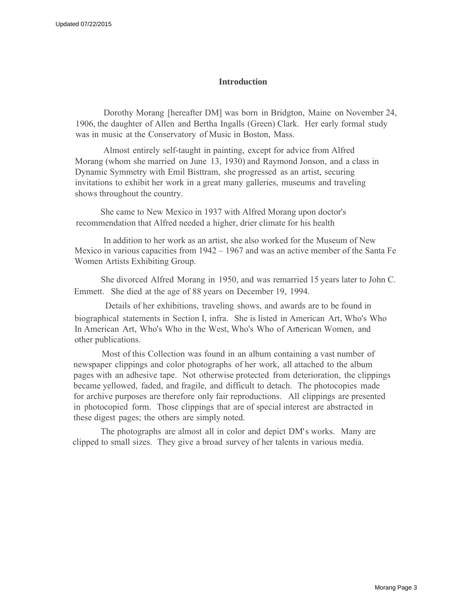#### **Introduction**

<span id="page-2-0"></span>Dorothy Morang [hereafter DM] was born in Bridgton, Maine on November 24, 1906, the daughter of Allen and Bertha Ingalls (Green) Clark. Her early formal study was in music at the Conservatory of Music in Boston, Mass.

Almost entirely self-taught in painting, except for advice from Alfred Morang (whom she married on June 13, 1930) and Raymond Jonson, and a class in Dynamic Symmetry with Emil Bisttram, she progressed as an artist, securing invitations to exhibit her work in a great many galleries, museums and traveling shows throughout the country.

 She came to New Mexico in 1937 with Alfred Morang upon doctor's recommendation that Alfred needed a higher, drier climate for his health

In addition to her work as an artist, she also worked for the Museum of New Mexico in various capacities from 1942 – 1967 and was an active member of the Santa Fe Women Artists Exhibiting Group.

She divorced Alfred Morang in 1950, and was remarried 15 years later to John C. Emmett. She died at the age of 88 years on December 19, 1994.

Details of her exhibitions, traveling shows, and awards are to be found in biographical statements in Section I, infra. She is listed in American Art, Who's Who In American Art, Who's Who in the West, Who's Who of American Women, and other publications.

Most of this Collection was found in an album containing a vast number of newspaper clippings and color photographs of her work, all attached to the album pages with an adhesive tape. Not otherwise protected from deterioration, the clippings became yellowed, faded, and fragile, and difficult to detach. The photocopies made for archive purposes are therefore only fair reproductions. All clippings are presented in photocopied form. Those clippings that are of special interest are abstracted in these digest pages; the others are simply noted.

The photographs are almost all in color and depict DM's works. Many are clipped to small sizes. They give a broad survey of her talents in various media.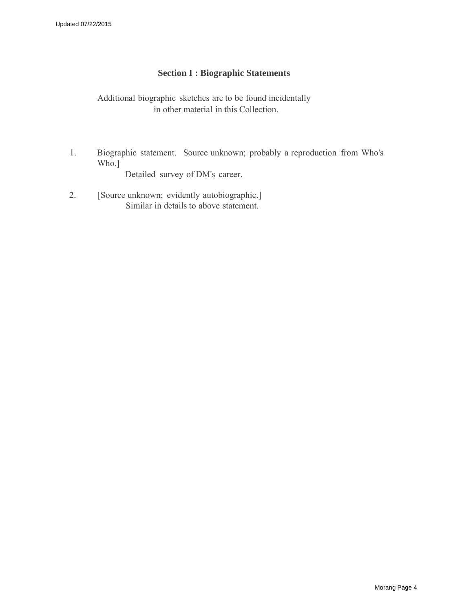# **Section I : Biographic Statements**

Additional biographic sketches are to be found incidentally in other material in this Collection.

1. Biographic statement. Source unknown; probably a reproduction from Who's Who.]

Detailed survey of DM's career.

2. [Source unknown; evidently autobiographic.] Similar in details to above statement.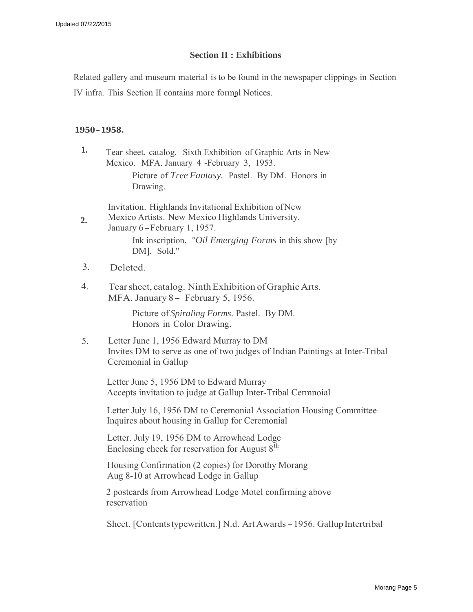## **Section II : Exhibitions**

Related gallery and museum material isto be found in the newspaper clippings in Section

IV infra. This Section II contains more formal Notices.

## **1950- 1958.**

**1.** Tear sheet, catalog. Sixth Exhibition of Graphic Arts in New Mexico. MFA. January 4 -February 3, 1953.

Picture of *Tree Fantasy.* Pastel. By DM. Honors in Drawing.

Invitation. Highlands Invitational Exhibition of New

- **2.** Mexico Artists. New Mexico Highlands University. January 6 - February 1, 1957. Ink inscription, *"Oil Emerging Forms* in this show [by DM]. Sold."
- 3. Deleted.
- 4. Tear sheet, catalog. Ninth Exhibition of Graphic Arts. MFA. January 8 - February 5, 1956.

Picture of *Spiraling Forms.* Pastel. By DM. Honors in Color Drawing.

5. Letter June 1, 1956 Edward Murray to DM Invites DM to serve as one of two judges of Indian Paintings at Inter-Tribal Ceremonial in Gallup

Letter June 5, 1956 DM to Edward Murray Accepts invitation to judge at Gallup Inter-Tribal Cermnoial

Letter July 16, 1956 DM to Ceremonial Association Housing Committee Inquires about housing in Gallup for Ceremonial

Letter. July 19, 1956 DM to Arrowhead Lodge Enclosing check for reservation for August  $8<sup>th</sup>$ 

Housing Confirmation (2 copies) for Dorothy Morang Aug 8-10 at Arrowhead Lodge in Gallup

2 postcards from Arrowhead Lodge Motel confirming above reservation

Sheet. [Contents typewritten.] N.d. Art Awards - 1956. Gallup Intertribal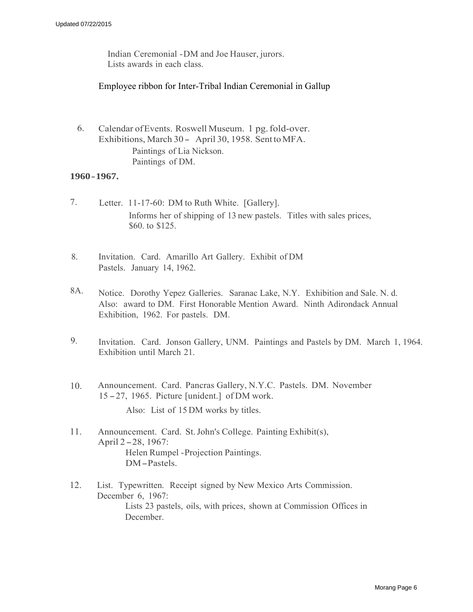Indian Ceremonial - DM and Joe Hauser, jurors. Lists awards in each class.

### Employee ribbon for Inter-Tribal Indian Ceremonial in Gallup

6. Calendar ofEvents. Roswell Museum. 1 pg. fold-over. Exhibitions, March 30- April 30, 1958. Sent toMFA. Paintings of Lia Nickson. Paintings of DM.

#### **1960- 1967.**

- 7. Letter. 11-17-60: DM to Ruth White. [Gallery]. Informs her of shipping of 13 new pastels. Titles with sales prices, \$60. to \$125.
- 8. Invitation. Card. Amarillo Art Gallery. Exhibit of DM Pastels. January 14, 1962.
- 8A. Notice. Dorothy Yepez Galleries. Saranac Lake, N.Y. Exhibition and Sale. N. d. Also: award to DM. First Honorable Mention Award. Ninth Adirondack Annual Exhibition, 1962. For pastels. DM.
- 9. Invitation. Card. Jonson Gallery, UNM. Paintings and Pastels by DM. March 1, 1964. Exhibition until March 21.
- 10. Announcement. Card. Pancras Gallery, N.Y.C. Pastels. DM. November <sup>15</sup> - 27, 1965. Picture [unident.] of DM work.

Also: List of 15 DM works by titles.

- 11. Announcement. Card. St. John's College. Painting Exhibit(s), April 2-28, 1967: Helen Rumpel - Projection Paintings. DM-Pastels.
- 12. List. Typewritten. Receipt signed by New Mexico Arts Commission. December 6, 1967: Lists 23 pastels, oils, with prices, shown at Commission Offices in December.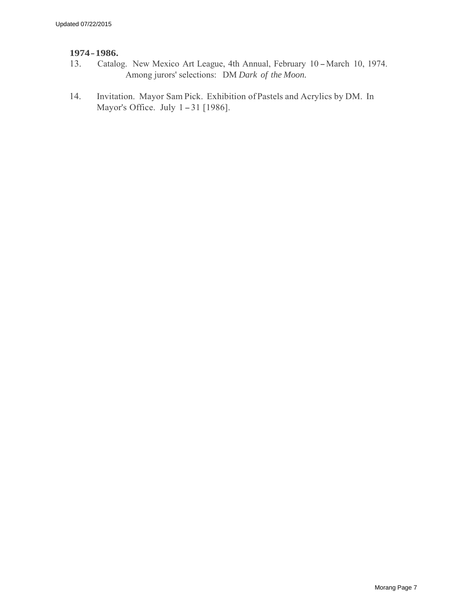# **1974- 1986.**

- Catalog. New Mexico Art League, 4th Annual, February 10 March 10, 1974. Among jurors' selections: DM *Dark of the Moon.*
- 14. Invitation. Mayor Sam Pick. Exhibition of Pastels and Acrylics by DM. In Mayor's Office. July 1-31 [1986].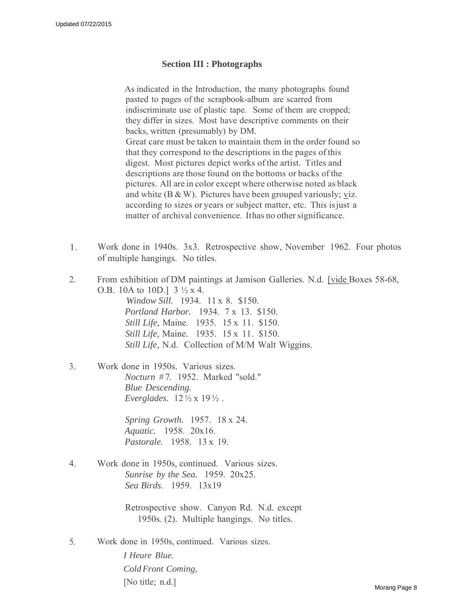### **Section III : Photographs**

As indicated in the Introduction, the many photographs found pasted to pages of the scrapbook-album are scarred from indiscriminate use of plastic tape. Some of them are cropped; they differ in sizes. Most have descriptive comments on their backs, written (presumably) by DM. Great care must be taken to maintain them in the order found so that they correspond to the descriptions in the pages of this digest. Most pictures depict works of the artist. Titles and descriptions are those found on the bottoms or backs of the pictures. All are in color except where otherwise noted as black and white  $(B & W)$ . Pictures have been grouped variously; viz. according to sizes or years or subject matter, etc. This is just a matter of archival convenience. It has no other significance.

- 1. Work done in 1940s. 3x3. Retrospective show, November 1962. Four photos of multiple hangings. No titles.
- 2. From exhibition of DM paintings at Jamison Galleries. N.d. [vide Boxes 58-68, O.B. 10A to 10D.]  $3 \frac{1}{2} \times 4$ .

*Window Sill.* 1934. 11 x 8. \$150. *Portland Harbor.* 1934. 7 x 13. \$150. *Still Life,* Maine. 1935. 15 x 11. \$150. *Still Life,* Maine. 1935. 15 x 11. \$150. *Still Life,* N.d. Collection of M/M Walt Wiggins.

3. Work done in 1950s. Various sizes. *Nocturn* # 7. 1952. Marked "sold." *Blue Descending. Everglades.* 12 ½ x 19 ½ .

> *Spring Growth.* 1957. 18 x 24. *Aquatic.* 1958. 20x16. *Pastorale.* 1958. 13 x 19.

4. Work done in 1950s, continued. Various sizes. *Sunrise by the Sea.* 1959. 20x25. *Sea Birds.* 1959. 13x19

> Retrospective show. Canyon Rd. N.d. except 1950s. (2). Multiple hangings. No titles.

5. Work done in 1950s, continued. Various sizes.

*I Heure Blue. Cold Front Coming,* [No title; n.d.]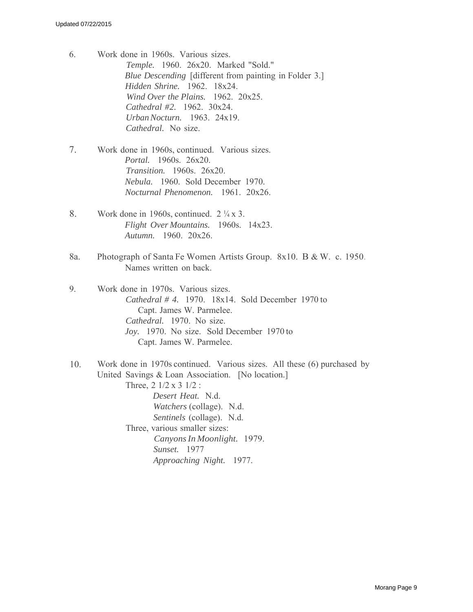- 6. Work done in 1960s. Various sizes. *Temple.* 1960. 26x20. Marked "Sold." *Blue Descending* [different from painting in Folder 3.] *Hidden Shrine.* 1962. 18x24. *Wind Over the Plains.* 1962. 20x25. *Cathedral #2.* 1962. 30x24. *Urban Nocturn.* 1963. 24x19. *Cathedral.* No size.
- 7. Work done in 1960s, continued. Various sizes. *Portal.* 1960s. 26x20. *Transition.* 1960s. 26x20. *Nebula.* 1960. Sold December 1970. *Nocturnal Phenomenon.* 1961. 20x26.
- 8. Work done in 1960s, continued.  $2\frac{1}{4} \times 3$ . *Flight Over Mountains.* 1960s. 14x23. *Autumn.* 1960. 20x26.
- 8a. Photograph of Santa Fe Women Artists Group. 8x10. B & W. c. 1950. Names written on back.
- 9. Work done in 1970s. Various sizes. *Cathedral # 4.* 1970. 18x14. Sold December 1970 to Capt. James W. Parmelee. *Cathedral.* 1970. No size. *Joy.* 1970. No size. Sold December 1970 to Capt. James W. Parmelee.
- 10. Work done in 1970s continued. Various sizes. All these (6) purchased by United Savings & Loan Association. [No location.] Three, 2 1/2 x 3 1/2 : *Desert Heat.* N.d. *Watchers* (collage). N.d. *Sentinels* (collage). N.d. Three, various smaller sizes: *Canyons In Moonlight.* 1979. *Sunset.* 1977

*Approaching Night.* 1977.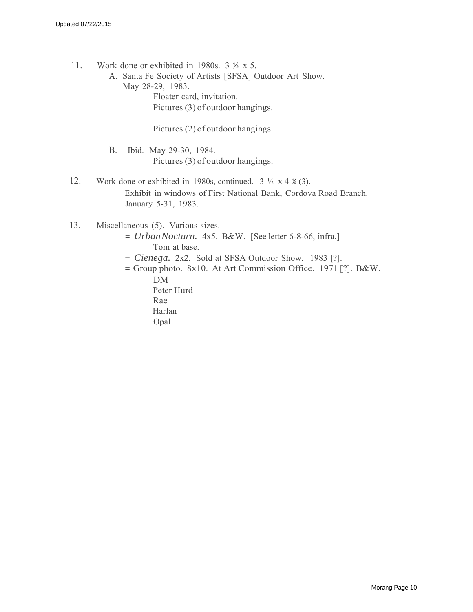- 11. Work done or exhibited in 1980s. 3 ½ x 5.
	- A. Santa Fe Society of Artists [SFSA] Outdoor Art Show. May 28-29, 1983. Floater card, invitation.

Pictures (3) of outdoor hangings.

Pictures (2) of outdoor hangings.

- B. Ibid. May 29-30, 1984. Pictures (3) of outdoor hangings.
- 12. Work done or exhibited in 1980s, continued.  $3 \frac{1}{2} \times 4 \frac{1}{4} (3)$ . Exhibit in windows of First National Bank, Cordova Road Branch. January 5-31, 1983.
- 13. Miscellaneous (5). Various sizes.
	- = *Urban Nocturn.* 4x5. B&W. [See letter 6-8-66, infra.] Tom at base.
	- = *Cienega.* 2x2. Sold at SFSA Outdoor Show. 1983 [?].
	- $=$  Group photo. 8x10. At Art Commission Office. 1971 [?]. B&W. DM

Peter Hurd Rae Harlan Opal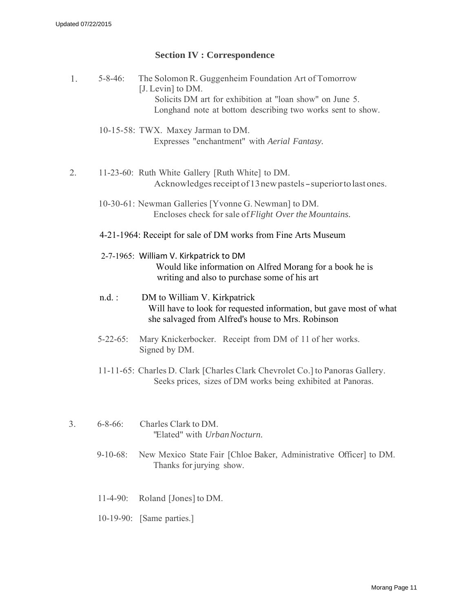## **Section IV : Correspondence**

- 1. 5-8-46: The Solomon R. Guggenheim Foundation Art of Tomorrow [J. Levin] to DM. Solicits DM art for exhibition at "loan show" on June 5. Longhand note at bottom describing two works sent to show. 10-15-58: TWX. Maxey Jarman to DM. Expresses "enchantment" with *Aerial Fantasy.* 2. 11-23-60: Ruth White Gallery [Ruth White] to DM. Acknowledges receipt of 13 new pastels - superior to last ones. 10-30-61: Newman Galleries [Yvonne G. Newman] to DM. Encloses check for sale of*Flight Over the Mountains.* 4-21-1964: Receipt for sale of DM works from Fine Arts Museum 2-7-1965: William V. Kirkpatrick to DM Would like information on Alfred Morang for a book he is writing and also to purchase some of his art n.d. : DM to William V. Kirkpatrick Will have to look for requested information, but gave most of what she salvaged from Alfred's house to Mrs. Robinson 5-22-65: Mary Knickerbocker. Receipt from DM of 11 of her works. Signed by DM. 11-11-65: Charles D. Clark [Charles Clark Chevrolet Co.] to Panoras Gallery. Seeks prices, sizes of DM works being exhibited at Panoras. 3. 6-8-66: Charles Clark to DM. "Elated" with *Urban Nocturn.*
	- 9-10-68: New Mexico State Fair [Chloe Baker, Administrative Officer] to DM. Thanks for jurying show.
	- 11-4-90: Roland [Jones] to DM.
	- 10-19-90: [Same parties.]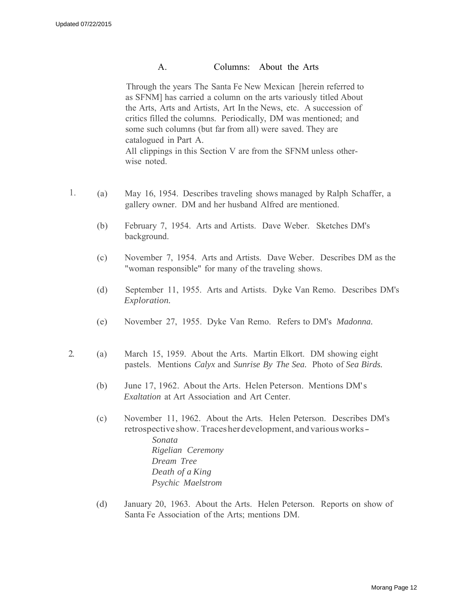#### A. Columns: About the Arts

Through the years The Santa Fe New Mexican [herein referred to as SFNM] has carried a column on the arts variously titled About the Arts, Arts and Artists, Art In the News, etc. A succession of critics filled the columns. Periodically, DM was mentioned; and some such columns (but far from all) were saved. They are catalogued in Part A. All clippings in this Section V are from the SFNM unless otherwise noted.

- 1. (a) May 16, 1954. Describes traveling shows managed by Ralph Schaffer, a gallery owner. DM and her husband Alfred are mentioned.
	- (b) February 7, 1954. Arts and Artists. Dave Weber. Sketches DM's background.
	- (c) November 7, 1954. Arts and Artists. Dave Weber. Describes DM as the "woman responsible" for many of the traveling shows.
	- (d) September 11, 1955. Arts and Artists. Dyke Van Remo. Describes DM's *Exploration.*
	- (e) November 27, 1955. Dyke Van Remo. Refers to DM's *Madonna.*
- 2. (a) March 15, 1959. About the Arts. Martin Elkort. DM showing eight pastels. Mentions *Calyx* and *Sunrise By The Sea.* Photo of *Sea Birds.*
	- (b) June 17, 1962. About the Arts. Helen Peterson. Mentions DM's *Exaltation* at Art Association and Art Center.
	- (c) November 11, 1962. About the Arts. Helen Peterson. Describes DM's retrospective show. Tracesherdevelopment, andvariousworks-*Sonata Rigelian Ceremony Dream Tree Death of a King Psychic Maelstrom*
	- (d) January 20, 1963. About the Arts. Helen Peterson. Reports on show of Santa Fe Association of the Arts; mentions DM.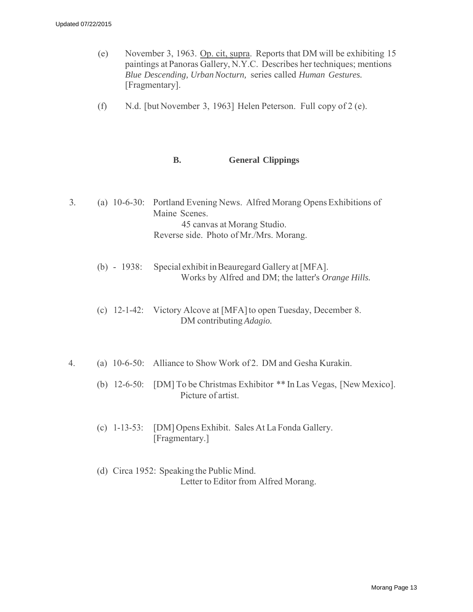- (e) November 3, 1963. Op. cit, supra. Reports that DM will be exhibiting 15 paintings at Panoras Gallery, N.Y.C. Describes her techniques; mentions *Blue Descending, Urban Nocturn,* series called *Human Gestures.* [Fragmentary].
- (f) N.d. [but November 3, 1963] Helen Peterson. Full copy of 2 (e).

#### **B. General Clippings**

- <span id="page-12-0"></span>3. (a) 10-6-30: Portland Evening News. Alfred Morang Opens Exhibitions of Maine Scenes. 45 canvas at Morang Studio. Reverse side. Photo of Mr./Mrs. Morang.
	- (b) 1938: Special exhibit in Beauregard Gallery at [MFA]. Works by Alfred and DM; the latter's *Orange Hills.*
	- (c) 12-1-42: Victory Alcove at [MFA] to open Tuesday, December 8. DM contributing *Adagio.*
- 4. (a) 10-6-50: Alliance to Show Work of 2. DM and Gesha Kurakin.
	- (b) 12-6-50: [DM] To be Christmas Exhibitor \*\* In Las Vegas, [New Mexico]. Picture of artist.
	- (c) 1-13-53: [DM] Opens Exhibit. Sales At La Fonda Gallery. [Fragmentary.]
	- (d) Circa 1952: Speaking the Public Mind. Letter to Editor from Alfred Morang.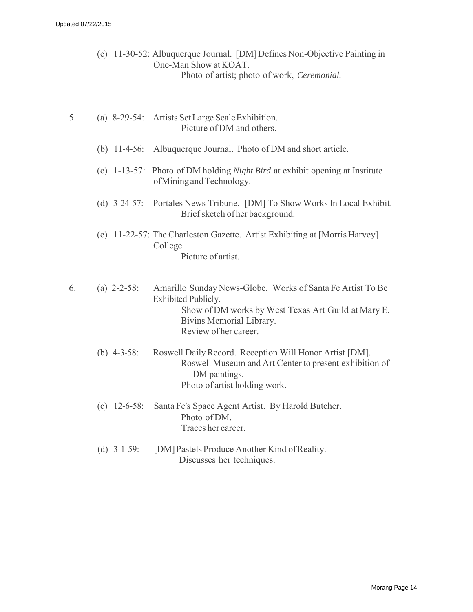- (e) 11-30-52: Albuquerque Journal. [DM] Defines Non-Objective Painting in One-Man Show at KOAT. Photo of artist; photo of work, *Ceremonial.*
- 5. (a) 8-29-54: Artists Set Large Scale Exhibition. Picture of DM and others.
	- (b) 11-4-56: Albuquerque Journal. Photo of DM and short article.
	- (c) 1-13-57: Photo of DM holding *Night Bird* at exhibit opening at Institute of Mining and Technology.
	- (d) 3-24-57: Portales News Tribune. [DM] To Show Works In Local Exhibit. Brief sketch of her background.
	- (e) 11-22-57: The Charleston Gazette. Artist Exhibiting at [Morris Harvey] College. Picture of artist.
- 6. (a) 2-2-58: Amarillo Sunday News-Globe. Works of Santa Fe Artist To Be Exhibited Publicly. Show of DM works by West Texas Art Guild at Mary E. Bivins Memorial Library. Review of her career.
	- (b) 4-3-58: Roswell Daily Record. Reception Will Honor Artist [DM]. Roswell Museum and Art Center to present exhibition of DM paintings. Photo of artist holding work.
	- (c) 12-6-58: Santa Fe's Space Agent Artist. By Harold Butcher. Photo of DM. Traces her career.
	- (d) 3-1-59: [DM] Pastels Produce Another Kind of Reality. Discusses her techniques.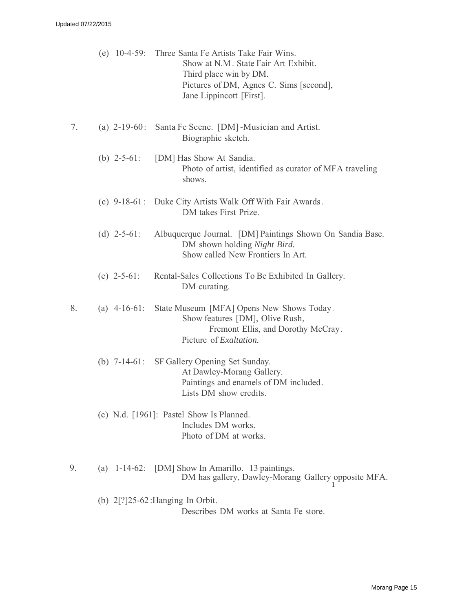|    |                 | (e) 10-4-59: Three Santa Fe Artists Take Fair Wins.<br>Show at N.M. State Fair Art Exhibit.<br>Third place win by DM.<br>Pictures of DM, Agnes C. Sims [second],<br>Jane Lippincott [First]. |
|----|-----------------|----------------------------------------------------------------------------------------------------------------------------------------------------------------------------------------------|
| 7. | (a) $2-19-60$ : | Santa Fe Scene. [DM] -Musician and Artist.<br>Biographic sketch.                                                                                                                             |
|    | (b) $2-5-61$ :  | [DM] Has Show At Sandia.<br>Photo of artist, identified as curator of MFA traveling<br>shows.                                                                                                |
|    |                 | (c) 9-18-61: Duke City Artists Walk Off With Fair Awards.<br>DM takes First Prize.                                                                                                           |
|    | (d) $2-5-61$ :  | Albuquerque Journal. [DM] Paintings Shown On Sandia Base.<br>DM shown holding Night Bird.<br>Show called New Frontiers In Art.                                                               |
|    | (e) $2-5-61$ :  | Rental-Sales Collections To Be Exhibited In Gallery.<br>DM curating.                                                                                                                         |
| 8. | (a) $4-16-61$ : | State Museum [MFA] Opens New Shows Today.<br>Show features [DM], Olive Rush,<br>Fremont Ellis, and Dorothy McCray.<br>Picture of <i>Exaltation</i> .                                         |
|    | (b) $7-14-61$ : | SF Gallery Opening Set Sunday.<br>At Dawley-Morang Gallery.<br>Paintings and enamels of DM included.<br>Lists DM show credits.                                                               |
|    |                 | (c) N.d. $[1961]$ : Pastel Show Is Planned.<br>Includes DM works.<br>Photo of DM at works.                                                                                                   |
| 9. |                 | (a) $1-14-62$ : [DM] Show In Amarillo. 13 paintings.<br>DM has gallery, Dawley-Morang Gallery opposite MFA.                                                                                  |

(b) 2[?]25-62 :Hanging In Orbit. Describes DM works at Santa Fe store.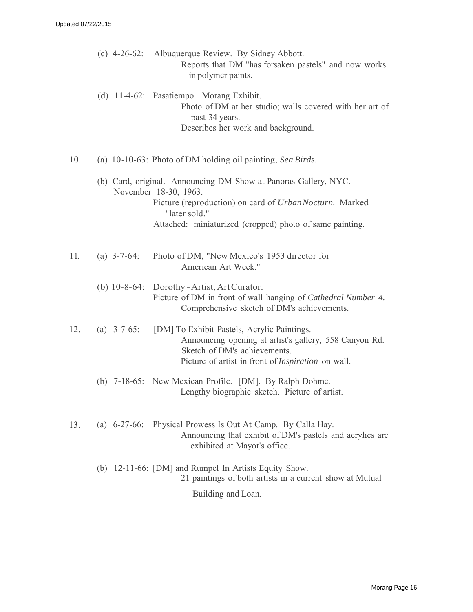|     |                | (c) 4-26-62: Albuquerque Review. By Sidney Abbott.<br>Reports that DM "has forsaken pastels" and now works<br>in polymer paints.                                                                   |
|-----|----------------|----------------------------------------------------------------------------------------------------------------------------------------------------------------------------------------------------|
|     |                | (d) 11-4-62: Pasatiempo. Morang Exhibit.<br>Photo of DM at her studio; walls covered with her art of<br>past 34 years.<br>Describes her work and background.                                       |
| 10. |                | (a) 10-10-63: Photo of DM holding oil painting, Sea Birds.                                                                                                                                         |
|     |                | (b) Card, original. Announcing DM Show at Panoras Gallery, NYC.<br>November 18-30, 1963.<br>Picture (reproduction) on card of UrbanNocturn. Marked                                                 |
|     |                | "later sold."<br>Attached: miniaturized (cropped) photo of same painting.                                                                                                                          |
|     |                |                                                                                                                                                                                                    |
| 11. | (a) $3-7-64$ : | Photo of DM, "New Mexico's 1953 director for<br>American Art Week."                                                                                                                                |
|     |                | (b) $10-8-64$ : Dorothy-Artist, Art Curator.<br>Picture of DM in front of wall hanging of Cathedral Number 4.<br>Comprehensive sketch of DM's achievements.                                        |
| 12. | (a) $3-7-65$ : | [DM] To Exhibit Pastels, Acrylic Paintings.<br>Announcing opening at artist's gallery, 558 Canyon Rd.<br>Sketch of DM's achievements.<br>Picture of artist in front of <i>Inspiration</i> on wall. |
|     |                | (b) 7-18-65: New Mexican Profile. [DM]. By Ralph Dohme.<br>Lengthy biographic sketch. Picture of artist.                                                                                           |
| 13. |                | (a) 6-27-66: Physical Prowess Is Out At Camp. By Calla Hay.<br>Announcing that exhibit of DM's pastels and acrylics are<br>exhibited at Mayor's office.                                            |
|     |                | (b) 12-11-66: [DM] and Rumpel In Artists Equity Show.<br>21 paintings of both artists in a current show at Mutual                                                                                  |
|     |                | Building and Loan.                                                                                                                                                                                 |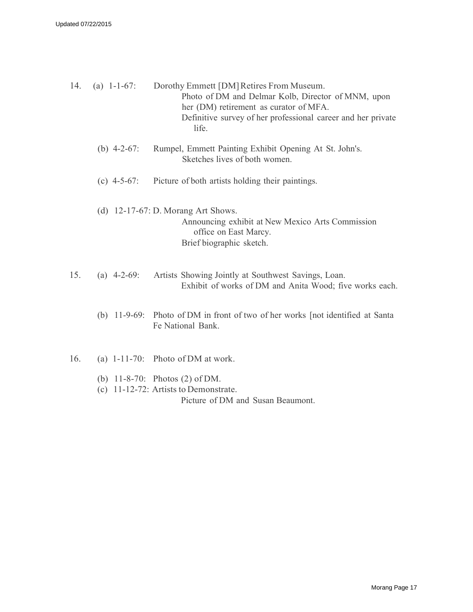| 14. | (a) $1-1-67$ : | Dorothy Emmett [DM] Retires From Museum.<br>Photo of DM and Delmar Kolb, Director of MNM, upon<br>her (DM) retirement as curator of MFA.<br>Definitive survey of her professional career and her private<br>life. |
|-----|----------------|-------------------------------------------------------------------------------------------------------------------------------------------------------------------------------------------------------------------|
|     | (b) $4-2-67$ : | Rumpel, Emmett Painting Exhibit Opening At St. John's.<br>Sketches lives of both women.                                                                                                                           |
|     | (c) $4-5-67$ : | Picture of both artists holding their paintings.                                                                                                                                                                  |
|     |                | (d) $12-17-67$ : D. Morang Art Shows.<br>Announcing exhibit at New Mexico Arts Commission<br>office on East Marcy.<br>Brief biographic sketch.                                                                    |
| 15. | (a) $4-2-69$ : | Artists Showing Jointly at Southwest Savings, Loan.<br>Exhibit of works of DM and Anita Wood; five works each.                                                                                                    |
|     |                | (b) 11-9-69: Photo of DM in front of two of her works [not identified at Santa<br>Fe National Bank.                                                                                                               |
| 16. |                | (a) $1-11-70$ : Photo of DM at work.                                                                                                                                                                              |
|     |                | (b) $11-8-70$ : Photos (2) of DM.<br>(c) $11-12-72$ : Artists to Demonstrate.<br>Picture of DM and Susan Beaumont.                                                                                                |